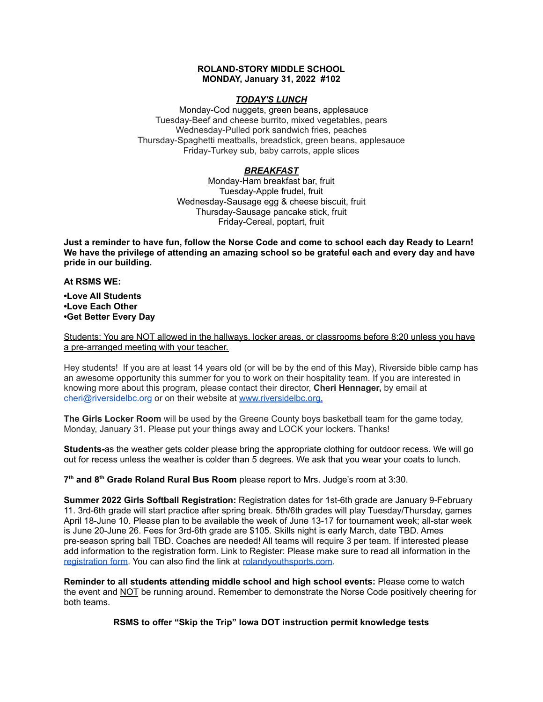## **ROLAND-STORY MIDDLE SCHOOL MONDAY, January 31, 2022 #102**

## *TODAY'S LUNCH*

Monday-Cod nuggets, green beans, applesauce Tuesday-Beef and cheese burrito, mixed vegetables, pears Wednesday-Pulled pork sandwich fries, peaches Thursday-Spaghetti meatballs, breadstick, green beans, applesauce Friday-Turkey sub, baby carrots, apple slices

## *BREAKFAST*

Monday-Ham breakfast bar, fruit Tuesday-Apple frudel, fruit Wednesday-Sausage egg & cheese biscuit, fruit Thursday-Sausage pancake stick, fruit Friday-Cereal, poptart, fruit

Just a reminder to have fun, follow the Norse Code and come to school each day Ready to Learn! **We have the privilege of attending an amazing school so be grateful each and every day and have pride in our building.**

#### **At RSMS WE:**

**•Love All Students •Love Each Other •Get Better Every Day**

Students: You are NOT allowed in the hallways, locker areas, or classrooms before 8:20 unless you have a pre-arranged meeting with your teacher.

Hey students! If you are at least 14 years old (or will be by the end of this May), Riverside bible camp has an awesome opportunity this summer for you to work on their hospitality team. If you are interested in knowing more about this program, please contact their director, **Cheri Hennager,** by email at cheri@riversidelbc.org or on their website at [www.riversidelbc.org.](http://www.riversidelbc.org/)

**The Girls Locker Room** will be used by the Greene County boys basketball team for the game today, Monday, January 31. Please put your things away and LOCK your lockers. Thanks!

**Students-**as the weather gets colder please bring the appropriate clothing for outdoor recess. We will go out for recess unless the weather is colder than 5 degrees. We ask that you wear your coats to lunch.

**7 th and 8 th Grade Roland Rural Bus Room** please report to Mrs. Judge's room at 3:30.

**Summer 2022 Girls Softball Registration:** Registration dates for 1st-6th grade are January 9-February 11. 3rd-6th grade will start practice after spring break. 5th/6th grades will play Tuesday/Thursday, games April 18-June 10. Please plan to be available the week of June 13-17 for tournament week; all-star week is June 20-June 26. Fees for 3rd-6th grade are \$105. Skills night is early March, date TBD. Ames pre-season spring ball TBD. Coaches are needed! All teams will require 3 per team. If interested please add information to the registration form. Link to Register: Please make sure to read all information in th[e](https://rolandyouthsports.com/summer-2022-softball-registration-form/) [registration](https://rolandyouthsports.com/summer-2022-softball-registration-form/) form. You can also find the link at [rolandyouthsports.com](http://rolandyouthsports.com/).

**Reminder to all students attending middle school and high school events:** Please come to watch the event and NOT be running around. Remember to demonstrate the Norse Code positively cheering for both teams.

**RSMS to offer "Skip the Trip" Iowa DOT instruction permit knowledge tests**